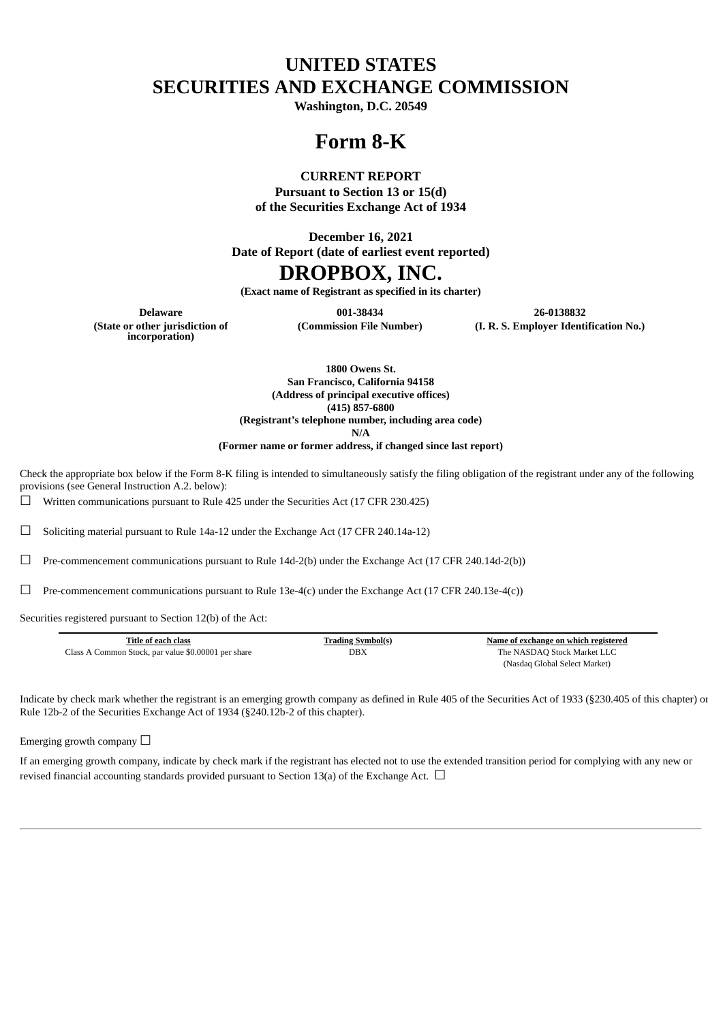# **UNITED STATES SECURITIES AND EXCHANGE COMMISSION**

**Washington, D.C. 20549**

# **Form 8-K**

### **CURRENT REPORT**

**Pursuant to Section 13 or 15(d) of the Securities Exchange Act of 1934**

**December 16, 2021**

**Date of Report (date of earliest event reported)**

## **DROPBOX, INC.**

**(Exact name of Registrant as specified in its charter)**

**(State or other jurisdiction of incorporation)**

**Delaware 001-38434 26-0138832 (Commission File Number) (I. R. S. Employer Identification No.)**

> **1800 Owens St. San Francisco, California 94158 (Address of principal executive offices) (415) 857-6800 (Registrant's telephone number, including area code)**

**N/A**

**(Former name or former address, if changed since last report)**

Check the appropriate box below if the Form 8-K filing is intended to simultaneously satisfy the filing obligation of the registrant under any of the following provisions (see General Instruction A.2. below):

 $\Box$  Written communications pursuant to Rule 425 under the Securities Act (17 CFR 230.425)

☐ Soliciting material pursuant to Rule 14a-12 under the Exchange Act (17 CFR 240.14a-12)

 $\Box$  Pre-commencement communications pursuant to Rule 14d-2(b) under the Exchange Act (17 CFR 240.14d-2(b))

 $\Box$  Pre-commencement communications pursuant to Rule 13e-4(c) under the Exchange Act (17 CFR 240.13e-4(c))

Securities registered pursuant to Section 12(b) of the Act:

| Title of each class                                 | <b>Trading Symbol(s)</b> | Name of exchange on which registered |
|-----------------------------------------------------|--------------------------|--------------------------------------|
| Class A Common Stock, par value \$0.00001 per share | DBX                      | The NASDAQ Stock Market LLC          |
|                                                     |                          | (Nasdaq Global Select Market)        |

Indicate by check mark whether the registrant is an emerging growth company as defined in Rule 405 of the Securities Act of 1933 (§230.405 of this chapter) or Rule 12b-2 of the Securities Exchange Act of 1934 (§240.12b-2 of this chapter).

Emerging growth company  $\Box$ 

If an emerging growth company, indicate by check mark if the registrant has elected not to use the extended transition period for complying with any new or revised financial accounting standards provided pursuant to Section 13(a) of the Exchange Act.  $\Box$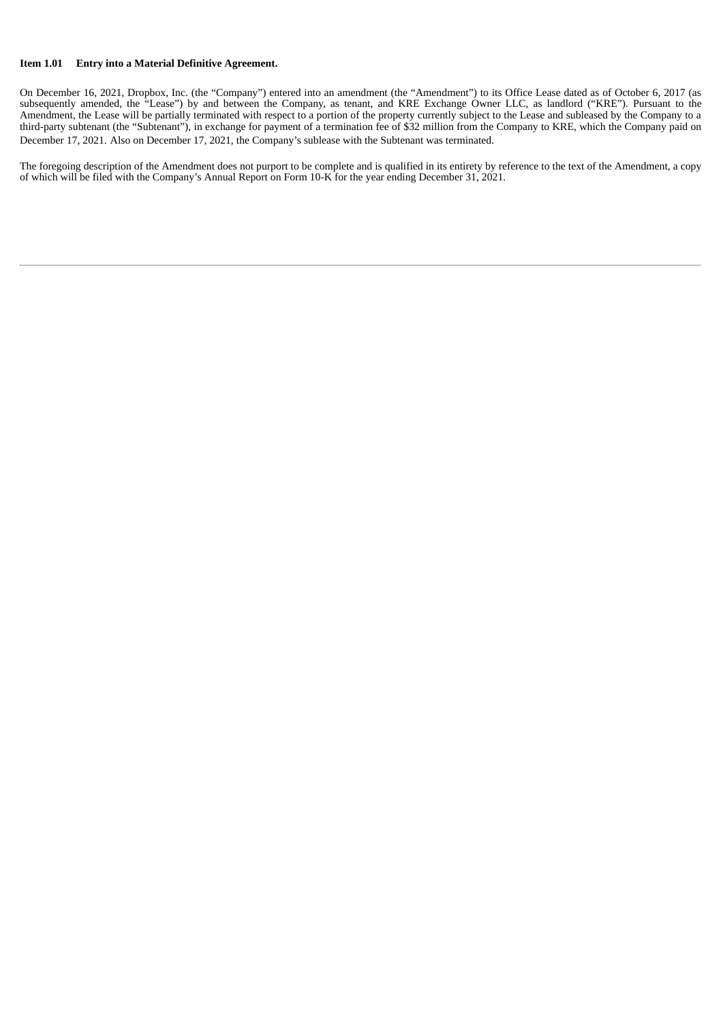#### **Item 1.01 Entry into a Material Definitive Agreement.**

On December 16, 2021, Dropbox, Inc. (the "Company") entered into an amendment (the "Amendment") to its Office Lease dated as of October 6, 2017 (as subsequently amended, the "Lease") by and between the Company, as tenant, and KRE Exchange Owner LLC, as landlord ("KRE"). Pursuant to the Amendment, the Lease will be partially terminated with respect to a portion of the property currently subject to the Lease and subleased by the Company to a third-party subtenant (the "Subtenant"), in exchange for payment of a termination fee of \$32 million from the Company to KRE, which the Company paid on December 17, 2021. Also on December 17, 2021, the Company's sublease with the Subtenant was terminated.

The foregoing description of the Amendment does not purport to be complete and is qualified in its entirety by reference to the text of the Amendment, a copy of which will be filed with the Company's Annual Report on Form 10-K for the year ending December 31, 2021.